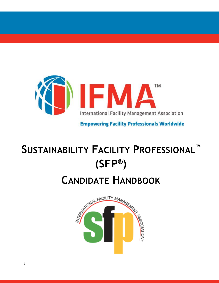

**Empowering Facility Professionals Worldwide** 

# **SUSTAINABILITY FACILITY PROFESSIONAL™ (SFP ®)**

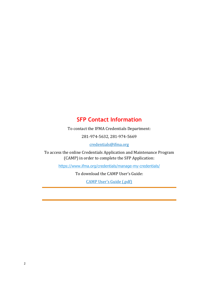# **SFP Contact Information**

To contact the IFMA Credentials Department:

281-974-5632, 281-974-5669

[credentials@ifma.org](mailto:credentials@ifma.org)

To access the online Credentials Application and Maintenance Program (CAMP) in order to complete the SFP Application:

<https://www.ifma.org/credentials/manage-my-credentials/>

To download the CAMP User's Guide:

[CAMP User's Guide \(.pdf\)](https://ifmacdn.azureedge.net/sfcdn/docs/default-source/marketing/pd-pages/camp2-user-39-s-guide_v0321_final.pdf?sfvrsn=2)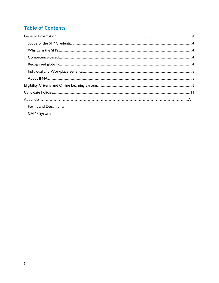# **Table of Contents**

| <b>Forms and Documents</b> |  |
|----------------------------|--|
| <b>CAMP</b> System         |  |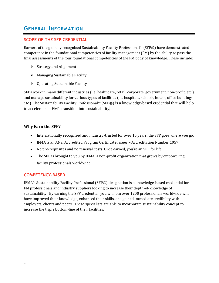# <span id="page-3-0"></span>**GENERAL INFORMATION**

## <span id="page-3-1"></span>**SCOPE OF THE SFP CREDENTIAL**

Earners of the globally recognized Sustainability Facility Professional™ (SFP®) have demonstrated competence in the foundational competencies of facility management (FM) by the ability to pass the final assessments of the four foundational competencies of the FM body of knowledge. These include:

- ➢ Strategy and Alignment
- $\triangleright$  Managing Sustainable Facility
- <span id="page-3-2"></span> $\triangleright$  Operating Sustainable Facility

SFPs work in many different industries (i.e. healthcare, retail, corporate, government, non-profit, etc.) and manage sustainability for various types of facilities (i.e. hospitals, schools, hotels, office buildings, etc.). The Sustainability Facility Professional™ (SFP®) is a knowledge-based credential that will help to accelerate an FM's transition into sustainability.

## **Why Earn the SFP?**

- <span id="page-3-3"></span>• Internationally recognized and industry-trusted for over 10 years, the SFP goes where you go.
- IFMA is an ANSI Accredited Program Certificate Issuer Accreditation Number 1057.
- No pre-requisites and no renewal costs. Once earned, you're an SFP for life!
- The SFP is brought to you by IFMA, a non-profit organization that grows by empowering facility professionals worldwide.

## **COMPETENCY-BASED**

<span id="page-3-4"></span>IFMA's Sustainability Facility Professional (SFP®) designation is a knowledge-based credential for FM professionals and industry suppliers looking to increase their depth-of-knowledge of sustainability. By earning the SFP credential, you will join over 1200 professionals worldwide who have improved their knowledge, enhanced their skills, and gained immediate credibility with employers, clients and peers. These specialists are able to incorporate sustainability concept to increase the triple bottom-line of their facilities.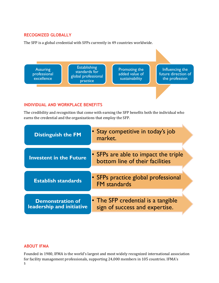## **RECOGNIZED GLOBALLY**

The SFP is a global credential with SFPs currently in 49 countries worldwide.



## <span id="page-4-0"></span>**INDIVIDUAL AND WORKPLACE BENEFITS**

The credibility and recognition that come with earning the SFP benefits both the individual who earns the credential and the organizations that employ the SFP.

| <b>Distinguish the FM</b>                            | Stay competitive in today's job<br>market.                              |
|------------------------------------------------------|-------------------------------------------------------------------------|
| <b>Investent in the Future</b>                       | • SFPs are able to impact the triple<br>bottom line of their facilities |
| <b>Establish standards</b>                           | • SFPs practice global professional<br><b>FM</b> standards              |
| <b>Demonstration of</b><br>leadership and initiative | • The SFP credential is a tangible<br>sign of success and expertise.    |

## <span id="page-4-1"></span>**ABOUT IFMA**

5 Founded in 1980, IFMA is the world's largest and most widely recognized international association for facility management professionals, supporting 24,000 members in 105 countries. IFMA's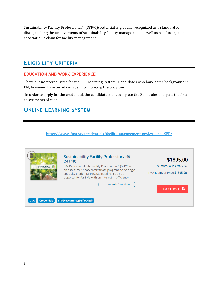Sustainability Facility Professional™ (SFP®)credential is globally recognized as a standard for distinguishing the achievements of sustainability facility management as well as reinforcing the association's claim for facility management.

# <span id="page-5-0"></span>**ELIGIBILITY CRITERIA**

#### **EDUCATION AND WORK EXPERIENCE**

There are no prerequistes for the SFP Learning System. Candidates who have some background in FM, however, have an advantage in completing the program.

In order to apply for the credential, the candidate must complete the 3 modules and pass the final assessments of each

# **ONLINE LEARNING SYSTEM**

[https://www.ifma.org/credentials/facility-management-professional-SFP/](https://www.ifma.org/credentials/sustainability-facility-professional-sfp/)

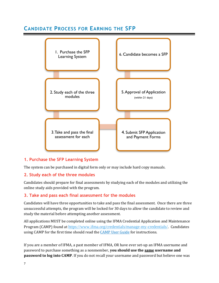# **CANDIDATE PROCESS FOR EARNING THE SFP**



## **1. Purchase the SFP Learning System**

The system can be purchased in digital form only or may include hard copy manuals.

#### **2. Study each of the three modules**

Candidates should prepare for final assessments by studying each of the modules and utilizing the online study aids provided with the program.

#### **3. Take and pass each final assessment for the modules**

Candidates will have three opportunities to take and pass the final assessment. Once there are three unsuccessful attempts, the program will be locked for 30 days to allow the candidate to review and study the material before attempting another assessment.

All applications MUST be completed online using the IFMA Credential Application and Maintenance Program (CAMP) found at [https://www.ifma.org/credentials/manage-my-credentials/.](https://www.ifma.org/credentials/manage-my-credentials/) Candidates using CAMP for the first time should read the [CAMP User Guide](https://ifmacdn.azureedge.net/sfcdn/docs/default-source/marketing/pd-pages/camp2-user-39-s-guide_v0321_final.pdf?sfvrsn=2) for instructions.

If you are a member of IFMA, a past member of IFMA, OR have ever set-up an IFMA username and password to purchase something as a nonmember, **you should use the same username and password to log into CAMP**. If you do not recall your username and password but believe one was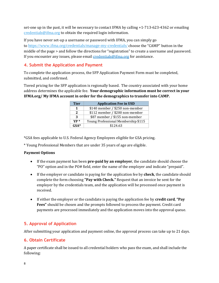set-one up in the past, it will be necessary to contact IFMA by calling +1-713-623-4362 or emailing [credentials@ifma.org](mailto:credentials@ifma.org) to obtain the required login information.

If you have never set-up a username or password with IFMA, you can simply go to <https://www.ifma.org/credentials/manage-my-credentials/> choose the "CAMP" button in the middle of the page > and follow the directions for "registration" to create a username and password. If you encounter any issues, please email **credentials@ifma.org** for assistance.

# **4. Submit the Application and Payment**

To complete the application process, the SFP Application Payment Form must be completed, submitted, and confirmed.

Tiered pricing for the SFP application is regionally based. The country associated with your home address determines the applicable fee. **Your demographic information must be correct in your IFMA.org/ My IFMA account in order for the demographics to transfer into CAMP.**

| <b>Tier</b> | <b>Application Fee in USD</b>       |  |  |
|-------------|-------------------------------------|--|--|
| 1           | \$140 member / \$250 non-member     |  |  |
| 2           | \$112 member / \$200 non-member     |  |  |
| 3           | \$87 member / \$155 non-member      |  |  |
| $YP*$       | Young Professional Membership \$115 |  |  |
| $GSA*$      | \$124.63                            |  |  |

\*GSA fees applicable to U.S. Federal Agency Employees eligible for GSA pricing.

\* Young Professional Members that are under 35 years of age are eligible.

#### **Payment Options**

- If the exam payment has been **pre-paid by an employer**, the candidate should choose the "PO" option and in the PO# field, enter the name of the employer and indicate "prepaid".
- If the employer or candidate is paying for the application fee by **check**, the candidate should complete the form choosing **"Pay with Check."** Request that an invoice be sent for the employer by the credentials team, and the application will be processed once payment is received.
- If either the employer or the candidate is paying the application fee by **credit card**, **"Pay Fees"** should be chosen and the prompts followed to process the payment. Credit card payments are processed immediately and the application moves into the approval queue.

# **5. Approval of Application**

After submitting your application and payment online, the approval process can take up to 21 days.

## **6. Obtain Certificate**

A paper certificate shall be issued to all credential holders who pass the exam, and shall include the following: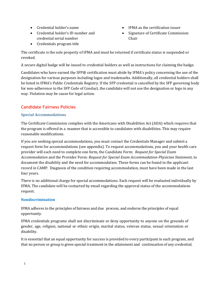- Credential holder's name
- Credential holder's ID number and credential serial number
- IFMA as the certification issuer
- Signature of Certificate Commission Chair

• Credentials program title

The certificate is the sole property of IFMA and must be returned if certificate status is suspended or revoked.

A secure digital badge will be issued to credential holders as well as instructions for claiming the badge.

Candidates who have earned the SFP® certification must abide by IFMA's policy concerning the use of the designation for various purposes including logos and trademarks. Additionally, all credential holders shall be listed in IFMA's Public Credentials Registry. If the SFP credential is cancelled by the SFP governing body for non-adherence to the SFP Code of Conduct, the candidate will not use the designation or logo in any way. Violation may be cause for legal action.

## <span id="page-8-0"></span>**Candidate Fairness Policies**

#### **Special Accommodations**

The Certificate Commission complies with the Americans with Disabilities Act (ADA) which requires that the program is offered in a manner that is accessible to candidates with disabilities. This may require reasonable modifications.

If you are seeking special accommodations, you must contact the Credentials Manager and submit a request form for accommodations (see appendix). To request accommodations, you and your health care provider will each need to complete one form, the Candidate Form: *Request for Special Exam Accommodation* and the Provider Form: *Request for Special Exam Accommodation-Physician Statement*, to document the disability and the need for accommodation. These forms can be found in the applicant record in CAMP. Diagnosis of the condition requiring accommodation, must have been made in the last four years.

There is no additional charge for special accommodations. Each request will be evaluated individually by IFMA. The candidate will be contacted by email regarding the approval status of the accommodations request.

#### **Nondiscrimination**

IFMA adheres to the principles of fairness and due process, and endorse the principles of equal opportunity.

IFMA credentials programs shall not discriminate or deny opportunity to anyone on the grounds of gender, age, religion, national or ethnic origin, marital status, veteran status, sexual orientation or disability.

It is essential that an equal opportunity for success is provided to every participant in each program, and that no person or group is given special treatment in the attainment and continuation of any credential.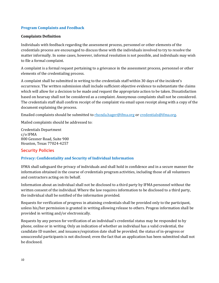#### **Program Complaints and Feedback**

#### **Complaints Definition**

Individuals with feedback regarding the assessment process, personnel or other elements of the credentials process are encouraged to discuss these with the individuals involved to try to resolve the matter informally. In some cases, however, informal resolution is not possible, and individuals may wish to file a formal complaint.

A complaint is a formal request pertaining to a grievance in the assessment process, personnel or other elements of the credentialing process.

A complaint shall be submitted in writing to the credentials staff within 30 days of the incident's occurrence. The written submission shall include sufficient objective evidence to substantiate the claims which will allow for a decision to be made and request the appropriate action to be taken. Dissatisfaction based on hearsay shall not be considered as a complaint. Anonymous complaints shall not be considered. The credentials staff shall confirm receipt of the complaint via email upon receipt along with a copy of the document explaining the process.

Emailed complaints should be submitted to [rhonda.hager@ifma.org](mailto:rhonda.hager@ifma.org) o[r credentials@ifma.org.](mailto:credentials@ifma.org) 

Mailed complaints should be addressed to:

Credentials Department c/o IFMA 800 Gessner Road, Suite 900 Houston, Texas 77024-4257

#### **Security Policies**

#### **Privacy: Confidentiality and Security of Individual Information**

IFMA shall safeguard the privacy of individuals and shall hold in confidence and in a secure manner the information obtained in the course of credentials program activities, including those of all volunteers and contractors acting on its behalf.

Information about an individual shall not be disclosed to a third party by IFMA personnel without the written consent of the individual. Where the law requires information to be disclosed to a third party, the individual shall be notified of the information provided.

Requests for verification of progress in attaining credentials shall be provided only to the participant, unless his/her permission is granted in writing allowing release to others. Progess information shall be provided in writing and/or electronically.

Requests by any person for verification of an individual's credential status may be responded to by phone, online or in writing. Only an indication of whether an individual has a valid credential, the candidate ID number, and issuance/expiration date shall be provided; the status of in-progress or unsuccessful participants is not disclosed; even the fact that an application has been submitted shall not be disclosed.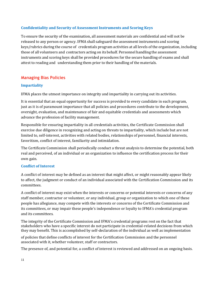#### **Confidentiality and Security of Assessment Instruments and Scoring Keys**

To ensure the security of the examination, all assessment materials are confidential and will not be released to any person or agency. IFMA shall safeguard the assessment instruments and scoring keys/rubrics during the course of credentials program activities at all levels of the organization, including those of all volunteers and contractors acting on its behalf. Personnel handling the assessment instruments and scoring keys shall be provided procedures for the secure handling of exams and shall attest to reading and understanding them prior to their handling of the materials.

# **Managing Bias Policies**

#### **Impartiality**

IFMA places the utmost importance on integrity and impartiality in carrying out its activities.

It is essential that an equal opportunity for success is provided to every candidate in each program, just as it is of paramount importance that all policies and procedures contribute to the development, oversight, evaluation, and maintenance of fair and equitable credentials and assessments which advance the profession of facility management.

Responsible for ensuring impartiality in all credentials activities, the Certificate Commission shall exercise due diligence in recognizing and acting on threats to impartiality, which include but are not limited to, self-interest, activities with related bodies, relationships of personnel, financial interests, favoritism, conflict of interest, familiarity and intimidation.

The Certificate Commission shall periodically conduct a threat analysis to determine the potential, both real and perceived, of an individual or an organization to influence the certification process for their own gain.

#### **Conflict of Interest**

A conflict of interest may be defined as an interest that might affect, or might reasonably appear likely to affect, the judgment or conduct of an individual associated with the Certification Commission and its committees.

A conflict of interest may exist when the interests or concerns or potential interests or concerns of any staff member, contractor or volunteer, or any individual, group or organization to which one of these people has allegiance, may compete with the interests or concerns of the Certificate Commission and its committees, or may impair these people's independence or loyalty to IFMA's credential program and its committees.

The integrity of the Certificate Commission and IFMA's credential programs rest on the fact that stakeholders who have a specific interest do not participate in credential-related decisions from which they may benefit. This is accomplished by self-declaration of the individual as well as implementation

of policies that define conflicts of interest for the Certification Commission and the personnel associated with it, whether volunteer, staff or contractors.

The presence of, and potential for, a conflict of interest is reviewed and addressed on an ongoing basis.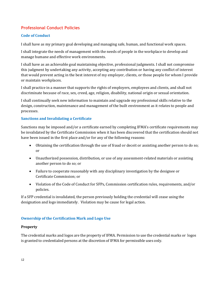## **Professional Conduct Policies**

#### **Code of Conduct**

I shall have as my primary goal developing and managing safe, human, and functional work spaces.

I shall integrate the needs of management with the needs of people in the workplace to develop and manage humane and effective work environments.

I shall have as an achievable goal maintaining objective, professional judgments. I shall not compromise this judgment by undertaking any activity, accepting any contribution or having any conflict of interest that would prevent acting in the best interest of my employer, clients, or those people for whom I provide or maintain workplaces.

I shall practice in a manner that supports the rights of employers, employees and clients, and shall not discriminate because of race, sex, creed, age, religion, disability, national origin or sexual orientation.

I shall continually seek new information to maintain and upgrade my professional skills relative to the design, construction, maintenance and management of the built environment as it relates to people and processes.

#### **Sanctions and Invalidating a Certificate**

Sanctions may be imposed and/or a certificate earned by completing IFMA's certificate requirements may be invalidated by the Certificate Commission when it has been discovered that the certification should not have been issued in the first place and/or for any of the following reasons:

- Obtaining the certification through the use of fraud or deceit or assisting another person to do so; or
- Unauthorized possession, distribution, or use of any assessment-related materials or assisting another person to do so; or
- Failure to cooperate reasonably with any disciplinary investigation by the designee or Certificate Commission; or
- Violation of the Code of Conduct for SFPs, Commission certification rules, requirements, and/or policies.

If a SFP credential is invalidated, the person previously holding the credential will cease using the designation and logo immediately. Violation may be cause for legal action.

#### **Ownership of the Certification Mark and Logo Use**

#### **Property**

The credential marks and logos are the property of IFMA. Permission to use the credential marks or logos is granted to credentialed persons at the discretion of IFMA for permissible uses only.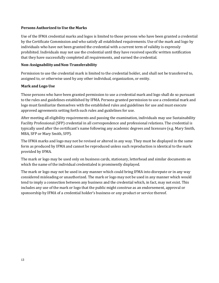#### **Persons Authorized to Use the Marks**

Use of the IFMA credential marks and logos is limited to those persons who have been granted a credential by the Certificate Commission and who satisfy all established requirements. Use of the mark and logo by individuals who have not been granted the credential with a current term of validity is expressly prohibited. Individuals may not use the credential until they have received specific written notification that they have successfully completed all requirements, and earned the credential.

#### **Non-Assignability andNon-Transferability**

Permission to use the credential mark is limited to the credential holder, and shall not be transferred to, assigned to, or otherwise used by any other individual, organization, or entity.

#### **Mark and Logo Use**

Those persons who have been granted permission to use a credential mark and logo shall do so pursuant to the rules and guidelines established by IFMA. Persons granted permission to use a credential mark and logo must familiarize themselves with the established rules and guidelines for use and must execute approved agreements setting forth such rules and guidelines for use.

After meeting all eligibility requirements and passing the examination, individuals may use Sustainability Facility Professional (SFP) credential in all correspondence and professional relations. The credential is typically used after the certificant's name following any academic degrees and licensure (e.g. Mary Smith, MBA, SFP or Mary Smith, SFP).

The IFMA marks and logo may not be revised or altered in any way. They must be displayed in the same form as produced by IFMA and cannot be reproduced unless such reproduction is identical to the mark provided by IFMA.

The mark or logo may be used only on business cards, stationary, letterhead and similar documents on which the name of the individual credentialed is prominently displayed.

The mark or logo may not be used in any manner which could bring IFMA into disrepute or in any way considered misleading or unauthorized. The mark or logo may not be used in any manner which would tend to imply a connection between any business and the credential which, in fact, may not exist. This includes any use of the mark or logo that the public might construe as an endorsement, approval or sponsorship by IFMA of a credential holder's business or any product or service thereof.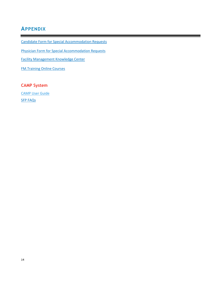# <span id="page-13-0"></span>**APPENDIX**

[Candidate Form for Special Accommodation Requests](https://ifmacdn.azureedge.net/sfcdn/docs/default-source/marketing/pd-pages/request-for-special-accommodations---candidate-form-04162018.pdf?sfvrsn=0.19909226152212178)

[Physician Form for Special Accommodation Requests](https://ifmacdn.azureedge.net/sfcdn/docs/default-source/marketing/pd-pages/physician-form---ada-accomodation-2018.pdf?sfvrsn=2)

[Facility Management Knowledge Center](http://www.ifma.org/know-base/knowledge-library)

[FM.Training Online Courses](https://www.fm.training/topclass/login.do)

# <span id="page-13-1"></span>**CAMP System**

[CAMP User Guide](https://ifmacdn.azureedge.net/sfcdn/docs/default-source/marketing/pd-pages/camp2-user-39-s-guide_v0321_final.pdf?sfvrsn=2) SFP [FAQs](https://www.ifma.org/credentials/sustainability-facility-professional-sfp/)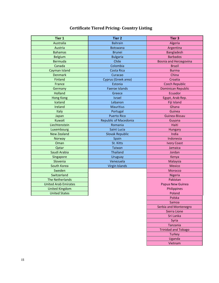# **Certificate Tiered Pricing- Country Listing**

| <b>Tier 1</b>               | <b>Tier 2</b>                | Tier 3                        |
|-----------------------------|------------------------------|-------------------------------|
| Australia                   | <b>Bahrain</b>               | Algeria                       |
| Austria                     | Botswana                     | Argentina                     |
| <b>Bahamas</b>              | <b>Brunei</b>                | Bangladesh                    |
| <b>Belgium</b>              | <b>Bulgaria</b>              | <b>Barbados</b>               |
| <b>Bermuda</b>              | Chile                        | <b>Bosnia and Herzegovina</b> |
| Canada                      | Colombia                     | Brazil                        |
| Cayman Island               | Costa Rica                   | <b>Burma</b>                  |
| <b>Denmark</b>              | Curacao                      | China                         |
| Finland                     | Cyprus (Greek area)          | Croatia                       |
| France                      | Estonia                      | <b>Czech Republic</b>         |
| Germany                     | <b>Faeroe Islands</b>        | <b>Dominican Republic</b>     |
| <b>Holland</b>              | Greece                       | Ecuador                       |
| <b>Hong Kong</b>            | <b>Israel</b>                | Egypt, Arab Rep.              |
| Iceland                     | Lebanon                      | Fiji Island                   |
| Ireland                     | <b>Mauritius</b>             | Ghana                         |
| Italy                       | Portugal                     | Guinea                        |
| Japan                       | <b>Puerto Rico</b>           | Guinea-Bissau                 |
| Kuwait                      | <b>Republic of Macedonia</b> | Guyana                        |
| Liechtenstein               | Romania                      | Haiti                         |
| Luxembourg                  | Saint Lucia                  | Hungary                       |
| <b>New Zealand</b>          | Slovak Republic              | India                         |
| Norway                      | Spain                        | Indonesia                     |
| Oman                        | St. Kitts                    | <b>Ivory Coast</b>            |
| Qatar                       | <b>Taiwan</b>                | Jamaica                       |
| Saudi Arabia                | <b>Thailand</b>              | Jordan                        |
| Singapore                   | Uruguay                      | Kenya                         |
| Slovenia                    | Venezuela                    | Malaysia                      |
| South Korea                 | Virgin Islands               | <b>Mexico</b>                 |
| Sweden                      |                              | Morocco                       |
| Switzerland                 |                              | Nigeria                       |
| <b>The Netherlands</b>      |                              | Pakistan                      |
| <b>United Arab Emirates</b> |                              | Papua New Guinea              |
| <b>United Kingdom</b>       |                              | Philippines                   |
| <b>United States</b>        |                              | Poland                        |
|                             |                              | Polska                        |
|                             |                              | Samoa                         |
|                             |                              | Serbia and Montenegro         |
|                             |                              | Sierra Lione                  |
|                             |                              | Sri Lanka                     |
|                             |                              | Syria                         |
|                             |                              | Tanzania                      |
|                             |                              | <b>Trinidad and Tobago</b>    |
|                             |                              | Turkey                        |
|                             |                              | Uganda                        |

Vietnam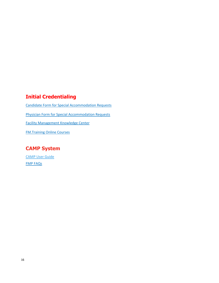# **Initial Credentialing**

[Candidate Form for Special Accommodation Requests](https://ifmacdn.azureedge.net/sfcdn/docs/default-source/marketing/pd-pages/request-for-special-accommodations---candidate-form-04162018.pdf?sfvrsn=0.19909226152212178) [Physician Form for Special Accommodation Requests](https://ifmacdn.azureedge.net/sfcdn/docs/default-source/marketing/pd-pages/physician-form---ada-accomodation-2018.pdf?sfvrsn=2) [Facility Management Knowledge Center](http://www.ifma.org/know-base/knowledge-library) [FM.Training Online Courses](https://www.fm.training/topclass/login.do)

# **CAMP System**

[CAMP User Guide](https://ifmacdn.azureedge.net/sfcdn/docs/default-source/marketing/pd-pages/camp2-user-39-s-guide_v0321_final.pdf?sfvrsn=2) FMP [FAQs](https://www.ifma.org/credentials/facility-management-professional-fmp/)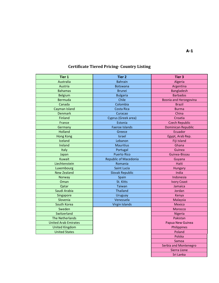# **Certificate Tiered Pricing- Country Listing**

| <b>Tier 1</b>               | <b>Tier 2</b>                | <b>Tier 3</b>                 |
|-----------------------------|------------------------------|-------------------------------|
| Australia                   | <b>Bahrain</b>               | Algeria                       |
| Austria                     | <b>Botswana</b>              | Argentina                     |
| <b>Bahamas</b>              | <b>Brunei</b>                | <b>Bangladesh</b>             |
| <b>Belgium</b>              | <b>Bulgaria</b>              | <b>Barbados</b>               |
| <b>Bermuda</b>              | Chile                        | <b>Bosnia and Herzegovina</b> |
| Canada                      | Colombia                     | <b>Brazil</b>                 |
| Cayman Island               | Costa Rica                   | <b>Burma</b>                  |
| <b>Denmark</b>              | Curacao                      | China                         |
| Finland                     | Cyprus (Greek area)          | Croatia                       |
| France                      | Estonia                      | <b>Czech Republic</b>         |
| Germany                     | <b>Faeroe Islands</b>        | <b>Dominican Republic</b>     |
| <b>Holland</b>              | Greece                       | Ecuador                       |
| <b>Hong Kong</b>            | Israel                       | Egypt, Arab Rep.              |
| Iceland                     | Lebanon                      | Fiji Island                   |
| Ireland                     | <b>Mauritius</b>             | Ghana                         |
| Italy                       | Portugal                     | Guinea                        |
| Japan                       | <b>Puerto Rico</b>           | Guinea-Bissau                 |
| Kuwait                      | <b>Republic of Macedonia</b> | Guyana                        |
| Liechtenstein               | Romania                      | Haiti                         |
| Luxembourg                  | <b>Saint Lucia</b>           | Hungary                       |
| <b>New Zealand</b>          | <b>Slovak Republic</b>       | India                         |
| Norway                      | Spain                        | Indonesia                     |
| Oman                        | St. Kitts                    | <b>Ivory Coast</b>            |
| Qatar                       | Taiwan                       | Jamaica                       |
| Saudi Arabia                | <b>Thailand</b>              | Jordan                        |
| Singapore                   | Uruguay                      | Kenya                         |
| Slovenia                    | Venezuela                    | Malaysia                      |
| South Korea                 | <b>Virgin Islands</b>        | <b>Mexico</b>                 |
| Sweden                      |                              | Morocco                       |
| Switzerland                 |                              | Nigeria                       |
| <b>The Netherlands</b>      |                              | Pakistan                      |
| <b>United Arab Emirates</b> |                              | Papua New Guinea              |
| <b>United Kingdom</b>       |                              | Philippines                   |
| <b>United States</b>        |                              | Poland                        |
|                             |                              | Polska                        |
|                             |                              | Samoa                         |
|                             |                              | Serbia and Montenegro         |
|                             |                              | Sierra Lione                  |
|                             |                              | Sri Lanka                     |